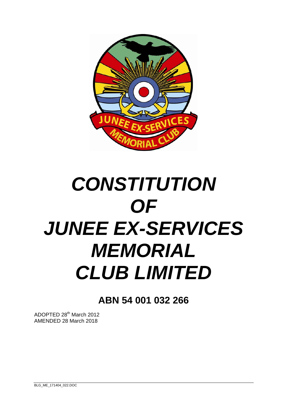

# *CONSTITUTION OF JUNEE EX-SERVICES MEMORIAL CLUB LIMITED*

**ABN 54 001 032 266** 

ADOPTED 28th March 2012 AMENDED 28 March 2018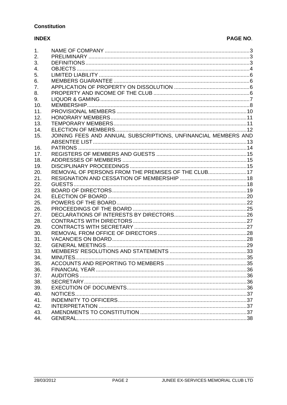# **Constitution**

#### **INDEX**

# PAGE NO.

| 1.  |                                                                |  |
|-----|----------------------------------------------------------------|--|
| 2.  |                                                                |  |
| 3.  |                                                                |  |
| 4.  |                                                                |  |
| 5.  |                                                                |  |
| 6.  |                                                                |  |
| 7.  |                                                                |  |
|     |                                                                |  |
| 8.  |                                                                |  |
| 9.  |                                                                |  |
| 10. |                                                                |  |
| 11. |                                                                |  |
| 12. |                                                                |  |
| 13. |                                                                |  |
| 14. |                                                                |  |
| 15. | JOINING FEES AND ANNUAL SUBSCRIPTIONS, UNFINANCIAL MEMBERS AND |  |
|     |                                                                |  |
| 16. |                                                                |  |
| 17. |                                                                |  |
| 18. |                                                                |  |
| 19. |                                                                |  |
| 20. | REMOVAL OF PERSONS FROM THE PREMISES OF THE CLUB 17            |  |
|     |                                                                |  |
| 21. |                                                                |  |
| 22. |                                                                |  |
| 23. |                                                                |  |
| 24. |                                                                |  |
| 25. |                                                                |  |
| 26. |                                                                |  |
| 27. |                                                                |  |
| 28. |                                                                |  |
| 29. |                                                                |  |
| 30. |                                                                |  |
| 31. |                                                                |  |
| 32. |                                                                |  |
| 33. |                                                                |  |
| 34. |                                                                |  |
| 35. |                                                                |  |
| 36. |                                                                |  |
|     |                                                                |  |
| 37. |                                                                |  |
| 38. |                                                                |  |
| 39. |                                                                |  |
| 40. |                                                                |  |
| 41. |                                                                |  |
| 42. |                                                                |  |
| 43. |                                                                |  |
| 44. |                                                                |  |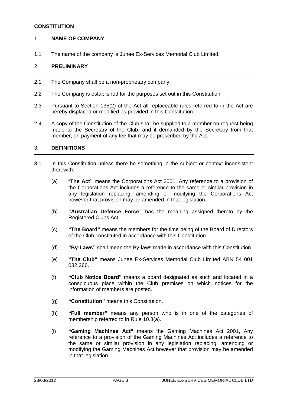#### **CONSTITUTION**

#### 1. **NAME OF COMPANY**

1.1 The name of the company is Junee Ex-Services Memorial Club Limited.

#### 2. **PRELIMINARY**

- 2.1 The Company shall be a non-proprietary company.
- 2.2 The Company is established for the purposes set out in this Constitution.
- 2.3 Pursuant to Section 135(2) of the Act all replaceable rules referred to in the Act are hereby displaced or modified as provided in this Constitution.
- 2.4 A copy of the Constitution of the Club shall be supplied to a member on request being made to the Secretary of the Club, and if demanded by the Secretary from that member, on payment of any fee that may be prescribed by the Act.

#### 3. **DEFINITIONS**

- 3.1 In this Constitution unless there be something in the subject or context inconsistent therewith:
	- (a) "**The Act"** means the Corporations Act 2001. Any reference to a provision of the Corporations Act includes a reference to the same or similar provision in any legislation replacing, amending or modifying the Corporations Act however that provision may be amended in that legislation.
	- (b) **"Australian Defence Force"** has the meaning assigned thereto by the Registered Clubs Act.
	- (c) **"The Board"** means the members for the time being of the Board of Directors of the Club constituted in accordance with this Constitution.
	- (d) **"By-Laws"** shall mean the By-laws made in accordance with this Constitution.
	- (e) **"The Club"** means Junee Ex-Services Memorial Club Limited ABN 54 001 032 266.
	- (f) **"Club Notice Board"** means a board designated as such and located in a conspicuous place within the Club premises on which notices for the information of members are posted.
	- (g) **"Constitution"** means this Constitution.
	- (h) **"Full member"** means any person who is in one of the categories of membership referred to in Rule 10.3(a).
	- (i) **"Gaming Machines Act"** means the Gaming Machines Act 2001, Any reference to a provision of the Gaming Machines Act includes a reference to the same or similar provision in any legislation replacing, amending or modifying the Gaming Machines Act however that provision may be amended in that legislation.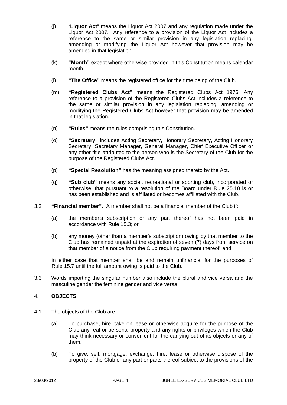- (j) "**Liquor Act**" means the Liquor Act 2007 and any regulation made under the Liquor Act 2007. Any reference to a provision of the Liquor Act includes a reference to the same or similar provision in any legislation replacing, amending or modifying the Liquor Act however that provision may be amended in that legislation.
- (k) **"Month"** except where otherwise provided in this Constitution means calendar month.
- (l) **"The Office"** means the registered office for the time being of the Club.
- (m) **"Registered Clubs Act"** means the Registered Clubs Act 1976. Any reference to a provision of the Registered Clubs Act includes a reference to the same or similar provision in any legislation replacing, amending or modifying the Registered Clubs Act however that provision may be amended in that legislation.
- (n) **"Rules"** means the rules comprising this Constitution.
- (o) **"Secretary"** includes Acting Secretary, Honorary Secretary, Acting Honorary Secretary, Secretary Manager, General Manager, Chief Executive Officer or any other title attributed to the person who is the Secretary of the Club for the purpose of the Registered Clubs Act.
- (p) **"Special Resolution"** has the meaning assigned thereto by the Act.
- (q) **"Sub club"** means any social, recreational or sporting club, incorporated or otherwise, that pursuant to a resolution of the Board under Rule 25.10 is or has been established and is affiliated or becomes affiliated with the Club.
- 3.2 **"Financial member"**. A member shall not be a financial member of the Club if:
	- (a) the member's subscription or any part thereof has not been paid in accordance with Rule 15.3; or
	- (b) any money (other than a member's subscription) owing by that member to the Club has remained unpaid at the expiration of seven (7) days from service on that member of a notice from the Club requiring payment thereof; and

in either case that member shall be and remain unfinancial for the purposes of Rule 15.7 until the full amount owing is paid to the Club.

3.3 Words importing the singular number also include the plural and vice versa and the masculine gender the feminine gender and vice versa.

#### 4. **OBJECTS**

- 4.1 The objects of the Club are:
	- (a) To purchase, hire, take on lease or otherwise acquire for the purpose of the Club any real or personal property and any rights or privileges which the Club may think necessary or convenient for the carrying out of its objects or any of them.
	- (b) To give, sell, mortgage, exchange, hire, lease or otherwise dispose of the property of the Club or any part or parts thereof subject to the provisions of the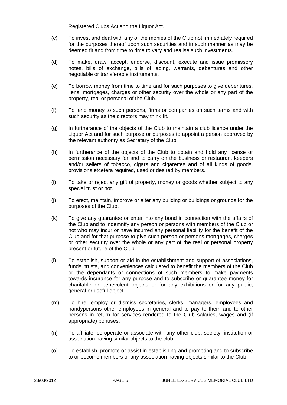Registered Clubs Act and the Liquor Act.

- (c) To invest and deal with any of the monies of the Club not immediately required for the purposes thereof upon such securities and in such manner as may be deemed fit and from time to time to vary and realise such investments.
- (d) To make, draw, accept, endorse, discount, execute and issue promissory notes, bills of exchange, bills of lading, warrants, debentures and other negotiable or transferable instruments.
- (e) To borrow money from time to time and for such purposes to give debentures, liens, mortgages, charges or other security over the whole or any part of the property, real or personal of the Club.
- (f) To lend money to such persons, firms or companies on such terms and with such security as the directors may think fit.
- (g) In furtherance of the objects of the Club to maintain a club licence under the Liquor Act and for such purpose or purposes to appoint a person approved by the relevant authority as Secretary of the Club.
- (h) In furtherance of the objects of the Club to obtain and hold any license or permission necessary for and to carry on the business or restaurant keepers and/or sellers of tobacco, cigars and cigarettes and of all kinds of goods, provisions etcetera required, used or desired by members.
- (i) To take or reject any gift of property, money or goods whether subject to any special trust or not.
- (j) To erect, maintain, improve or alter any building or buildings or grounds for the purposes of the Club.
- (k) To give any guarantee or enter into any bond in connection with the affairs of the Club and to indemnify any person or persons with members of the Club or not who may incur or have incurred any personal liability for the benefit of the Club and for that purpose to give such person or persons mortgages, charges or other security over the whole or any part of the real or personal property present or future of the Club.
- (l) To establish, support or aid in the establishment and support of associations, funds, trusts, and conveniences calculated to benefit the members of the Club or the dependants or connections of such members to make payments towards insurance for any purpose and to subscribe or guarantee money for charitable or benevolent objects or for any exhibitions or for any public, general or useful object.
- (m) To hire, employ or dismiss secretaries, clerks, managers, employees and handypersons other employees in general and to pay to them and to other persons in return for services rendered to the Club salaries, wages and (if appropriate) bonuses.
- (n) To affiliate, co-operate or associate with any other club, society, institution or association having similar objects to the club.
- (o) To establish, promote or assist in establishing and promoting and to subscribe to or become members of any association having objects similar to the Club.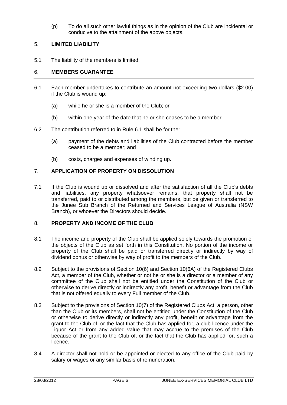(p) To do all such other lawful things as in the opinion of the Club are incidental or conducive to the attainment of the above objects.

#### 5. **LIMITED LIABILITY**

5.1 The liability of the members is limited.

#### 6. **MEMBERS GUARANTEE**

- 6.1 Each member undertakes to contribute an amount not exceeding two dollars (\$2.00) if the Club is wound up:
	- (a) while he or she is a member of the Club; or
	- (b) within one year of the date that he or she ceases to be a member.
- 6.2 The contribution referred to in Rule 6.1 shall be for the:
	- (a) payment of the debts and liabilities of the Club contracted before the member ceased to be a member; and
	- (b) costs, charges and expenses of winding up.

# 7. **APPLICATION OF PROPERTY ON DISSOLUTION**

7.1 If the Club is wound up or dissolved and after the satisfaction of all the Club's debts and liabilities, any property whatsoever remains, that property shall not be transferred, paid to or distributed among the members, but be given or transferred to the Junee Sub Branch of the Returned and Services League of Australia (NSW Branch), or whoever the Directors should decide.

#### 8. **PROPERTY AND INCOME OF THE CLUB**

- 8.1 The income and property of the Club shall be applied solely towards the promotion of the objects of the Club as set forth in this Constitution. No portion of the income or property of the Club shall be paid or transferred directly or indirectly by way of dividend bonus or otherwise by way of profit to the members of the Club.
- 8.2 Subject to the provisions of Section 10(6) and Section 10(6A) of the Registered Clubs Act, a member of the Club, whether or not he or she is a director or a member of any committee of the Club shall not be entitled under the Constitution of the Club or otherwise to derive directly or indirectly any profit, benefit or advantage from the Club that is not offered equally to every Full member of the Club.
- 8.3 Subject to the provisions of Section 10(7) of the Registered Clubs Act, a person, other than the Club or its members, shall not be entitled under the Constitution of the Club or otherwise to derive directly or indirectly any profit, benefit or advantage from the grant to the Club of, or the fact that the Club has applied for, a club licence under the Liquor Act or from any added value that may accrue to the premises of the Club because of the grant to the Club of, or the fact that the Club has applied for, such a licence.
- 8.4 A director shall not hold or be appointed or elected to any office of the Club paid by salary or wages or any similar basis of remuneration.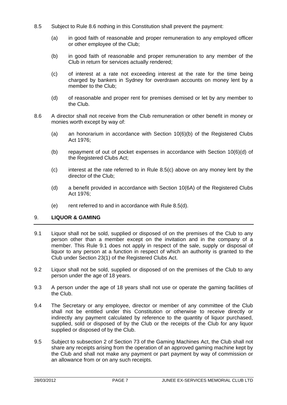- 8.5 Subject to Rule 8.6 nothing in this Constitution shall prevent the payment:
	- (a) in good faith of reasonable and proper remuneration to any employed officer or other employee of the Club;
	- (b) in good faith of reasonable and proper remuneration to any member of the Club in return for services actually rendered;
	- (c) of interest at a rate not exceeding interest at the rate for the time being charged by bankers in Sydney for overdrawn accounts on money lent by a member to the Club;
	- (d) of reasonable and proper rent for premises demised or let by any member to the Club.
- 8.6 A director shall not receive from the Club remuneration or other benefit in money or monies worth except by way of:
	- (a) an honorarium in accordance with Section 10(6)(b) of the Registered Clubs Act 1976;
	- (b) repayment of out of pocket expenses in accordance with Section 10(6)(d) of the Registered Clubs Act;
	- (c) interest at the rate referred to in Rule 8.5(c) above on any money lent by the director of the Club;
	- (d) a benefit provided in accordance with Section 10(6A) of the Registered Clubs Act 1976;
	- (e) rent referred to and in accordance with Rule 8.5(d).

#### 9. **LIQUOR & GAMING**

- 9.1 Liquor shall not be sold, supplied or disposed of on the premises of the Club to any person other than a member except on the invitation and in the company of a member. This Rule 9.1 does not apply in respect of the sale, supply or disposal of liquor to any person at a function in respect of which an authority is granted to the Club under Section 23(1) of the Registered Clubs Act.
- 9.2 Liquor shall not be sold, supplied or disposed of on the premises of the Club to any person under the age of 18 years.
- 9.3 A person under the age of 18 years shall not use or operate the gaming facilities of the Club.
- 9.4 The Secretary or any employee, director or member of any committee of the Club shall not be entitled under this Constitution or otherwise to receive directly or indirectly any payment calculated by reference to the quantity of liquor purchased, supplied, sold or disposed of by the Club or the receipts of the Club for any liquor supplied or disposed of by the Club.
- 9.5 Subject to subsection 2 of Section 73 of the Gaming Machines Act, the Club shall not share any receipts arising from the operation of an approved gaming machine kept by the Club and shall not make any payment or part payment by way of commission or an allowance from or on any such receipts.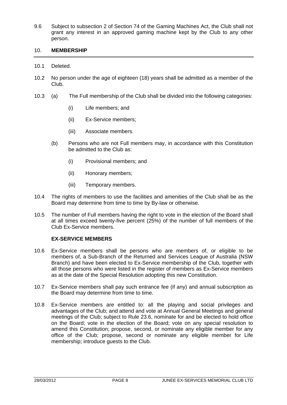9.6 Subject to subsection 2 of Section 74 of the Gaming Machines Act, the Club shall not grant any interest in an approved gaming machine kept by the Club to any other person.

#### 10. **MEMBERSHIP**

- 10.1 Deleted.
- 10.2 No person under the age of eighteen (18) years shall be admitted as a member of the Club.
- 10.3 (a) The Full membership of the Club shall be divided into the following categories:
	- (i) Life members; and
	- (ii) Ex-Service members;
	- (iii) Associate members.
	- (b) Persons who are not Full members may, in accordance with this Constitution be admitted to the Club as:
		- (i) Provisional members; and
		- (ii) Honorary members;
		- (iii) Temporary members.
- 10.4 The rights of members to use the facilities and amenities of the Club shall be as the Board may determine from time to time by By-law or otherwise.
- 10.5 The number of Full members having the right to vote in the election of the Board shall at all times exceed twenty-five percent (25%) of the number of full members of the Club Ex-Service members.

#### **EX-SERVICE MEMBERS**

- 10.6 Ex-Service members shall be persons who are members of, or eligible to be members of, a Sub-Branch of the Returned and Services League of Australia (NSW Branch) and have been elected to Ex-Service membership of the Club, together with all those persons who were listed in the register of members as Ex-Service members as at the date of the Special Resolution adopting this new Constitution.
- 10.7 Ex-Service members shall pay such entrance fee (if any) and annual subscription as the Board may determine from time to time.
- 10.8 Ex-Service members are entitled to: all the playing and social privileges and advantages of the Club; and attend and vote at Annual General Meetings and general meetings of the Club; subject to Rule 23.6, nominate for and be elected to hold office on the Board; vote in the election of the Board; vote on any special resolution to amend this Constitution; propose, second, or nominate any eligible member for any office of the Club; propose, second or nominate any eligible member for Life membership; introduce guests to the Club.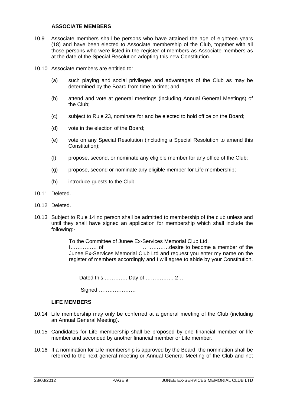#### **ASSOCIATE MEMBERS**

- 10.9 Associate members shall be persons who have attained the age of eighteen years (18) and have been elected to Associate membership of the Club, together with all those persons who were listed in the register of members as Associate members as at the date of the Special Resolution adopting this new Constitution.
- 10.10 Associate members are entitled to:
	- (a) such playing and social privileges and advantages of the Club as may be determined by the Board from time to time; and
	- (b) attend and vote at general meetings (including Annual General Meetings) of the Club;
	- (c) subject to Rule 23, nominate for and be elected to hold office on the Board;
	- (d) vote in the election of the Board;
	- (e) vote on any Special Resolution (including a Special Resolution to amend this Constitution);
	- (f) propose, second, or nominate any eligible member for any office of the Club;
	- (g) propose, second or nominate any eligible member for Life membership;
	- (h) introduce guests to the Club.
- 10.11 Deleted.
- 10.12 Deleted.
- 10.13 Subject to Rule 14 no person shall be admitted to membership of the club unless and until they shall have signed an application for membership which shall include the following:-

To the Committee of Junee Ex-Services Memorial Club Ltd. I…………… of ……………desire to become a member of the Junee Ex-Services Memorial Club Ltd and request you enter my name on the register of members accordingly and I will agree to abide by your Constitution.

Dated this …………. Day of ……………. 2…

Signed …………………

#### **LIFE MEMBERS**

- 10.14 Life membership may only be conferred at a general meeting of the Club (including an Annual General Meeting).
- 10.15 Candidates for Life membership shall be proposed by one financial member or life member and seconded by another financial member or Life member.
- 10.16 If a nomination for Life membership is approved by the Board, the nomination shall be referred to the next general meeting or Annual General Meeting of the Club and not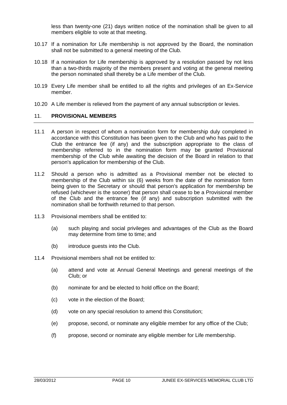less than twenty-one (21) days written notice of the nomination shall be given to all members eligible to vote at that meeting.

- 10.17 If a nomination for Life membership is not approved by the Board, the nomination shall not be submitted to a general meeting of the Club.
- 10.18 If a nomination for Life membership is approved by a resolution passed by not less than a two-thirds majority of the members present and voting at the general meeting the person nominated shall thereby be a Life member of the Club.
- 10.19 Every Life member shall be entitled to all the rights and privileges of an Ex-Service member.
- 10.20 A Life member is relieved from the payment of any annual subscription or levies.

#### 11. **PROVISIONAL MEMBERS**

- 11.1 A person in respect of whom a nomination form for membership duly completed in accordance with this Constitution has been given to the Club and who has paid to the Club the entrance fee (if any) and the subscription appropriate to the class of membership referred to in the nomination form may be granted Provisional membership of the Club while awaiting the decision of the Board in relation to that person's application for membership of the Club.
- 11.2 Should a person who is admitted as a Provisional member not be elected to membership of the Club within six (6) weeks from the date of the nomination form being given to the Secretary or should that person's application for membership be refused (whichever is the sooner) that person shall cease to be a Provisional member of the Club and the entrance fee (if any) and subscription submitted with the nomination shall be forthwith returned to that person.
- 11.3 Provisional members shall be entitled to:
	- (a) such playing and social privileges and advantages of the Club as the Board may determine from time to time; and
	- (b) introduce guests into the Club.
- 11.4 Provisional members shall not be entitled to:
	- (a) attend and vote at Annual General Meetings and general meetings of the Club; or
	- (b) nominate for and be elected to hold office on the Board;
	- (c) vote in the election of the Board;
	- (d) vote on any special resolution to amend this Constitution;
	- (e) propose, second, or nominate any eligible member for any office of the Club;
	- (f) propose, second or nominate any eligible member for Life membership.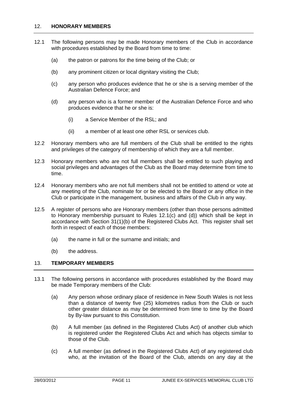#### 12. **HONORARY MEMBERS**

- 12.1 The following persons may be made Honorary members of the Club in accordance with procedures established by the Board from time to time:
	- (a) the patron or patrons for the time being of the Club; or
	- (b) any prominent citizen or local dignitary visiting the Club;
	- (c) any person who produces evidence that he or she is a serving member of the Australian Defence Force; and
	- (d) any person who is a former member of the Australian Defence Force and who produces evidence that he or she is:
		- (i) a Service Member of the RSL; and
		- (ii) a member of at least one other RSL or services club.
- 12.2 Honorary members who are full members of the Club shall be entitled to the rights and privileges of the category of membership of which they are a full member.
- 12.3 Honorary members who are not full members shall be entitled to such playing and social privileges and advantages of the Club as the Board may determine from time to time.
- 12.4 Honorary members who are not full members shall not be entitled to attend or vote at any meeting of the Club, nominate for or be elected to the Board or any office in the Club or participate in the management, business and affairs of the Club in any way.
- 12.5 A register of persons who are Honorary members (other than those persons admitted to Honorary membership pursuant to Rules 12.1(c) and (d)) which shall be kept in accordance with Section 31(1)(b) of the Registered Clubs Act. This register shall set forth in respect of each of those members:
	- (a) the name in full or the surname and initials; and
	- (b) the address.

#### 13. **TEMPORARY MEMBERS**

- 13.1 The following persons in accordance with procedures established by the Board may be made Temporary members of the Club:
	- (a) Any person whose ordinary place of residence in New South Wales is not less than a distance of twenty five (25) kilometres radius from the Club or such other greater distance as may be determined from time to time by the Board by By-law pursuant to this Constitution.
	- (b) A full member (as defined in the Registered Clubs Act) of another club which is registered under the Registered Clubs Act and which has objects similar to those of the Club.
	- (c) A full member (as defined in the Registered Clubs Act) of any registered club who, at the invitation of the Board of the Club, attends on any day at the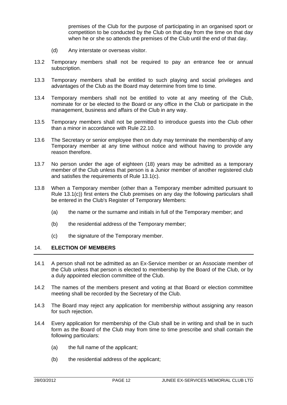premises of the Club for the purpose of participating in an organised sport or competition to be conducted by the Club on that day from the time on that day when he or she so attends the premises of the Club until the end of that day.

- (d) Any interstate or overseas visitor.
- 13.2 Temporary members shall not be required to pay an entrance fee or annual subscription.
- 13.3 Temporary members shall be entitled to such playing and social privileges and advantages of the Club as the Board may determine from time to time.
- 13.4 Temporary members shall not be entitled to vote at any meeting of the Club, nominate for or be elected to the Board or any office in the Club or participate in the management, business and affairs of the Club in any way.
- 13.5 Temporary members shall not be permitted to introduce guests into the Club other than a minor in accordance with Rule 22.10.
- 13.6 The Secretary or senior employee then on duty may terminate the membership of any Temporary member at any time without notice and without having to provide any reason therefore.
- 13.7 No person under the age of eighteen (18) years may be admitted as a temporary member of the Club unless that person is a Junior member of another registered club and satisfies the requirements of Rule 13.1(c).
- 13.8 When a Temporary member (other than a Temporary member admitted pursuant to Rule 13.1(c)) first enters the Club premises on any day the following particulars shall be entered in the Club's Register of Temporary Members:
	- (a) the name or the surname and initials in full of the Temporary member; and
	- (b) the residential address of the Temporary member;
	- (c) the signature of the Temporary member.

#### 14. **ELECTION OF MEMBERS**

- 14.1 A person shall not be admitted as an Ex-Service member or an Associate member of the Club unless that person is elected to membership by the Board of the Club, or by a duly appointed election committee of the Club.
- 14.2 The names of the members present and voting at that Board or election committee meeting shall be recorded by the Secretary of the Club.
- 14.3 The Board may reject any application for membership without assigning any reason for such rejection.
- 14.4 Every application for membership of the Club shall be in writing and shall be in such form as the Board of the Club may from time to time prescribe and shall contain the following particulars:
	- (a) the full name of the applicant;
	- (b) the residential address of the applicant;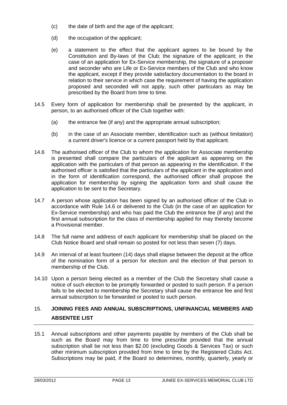- (c) the date of birth and the age of the applicant;
- (d) the occupation of the applicant;
- (e) a statement to the effect that the applicant agrees to be bound by the Constitution and By-laws of the Club; the signature of the applicant; in the case of an application for Ex-Service membership, the signature of a proposer and seconder who are Life or Ex-Service members of the Club and who know the applicant, except if they provide satisfactory documentation to the board in relation to their service in which case the requirement of having the application proposed and seconded will not apply, such other particulars as may be prescribed by the Board from time to time.
- 14.5 Every form of application for membership shall be presented by the applicant, in person, to an authorised officer of the Club together with:
	- (a) the entrance fee (if any) and the appropriate annual subscription;
	- (b) in the case of an Associate member, identification such as (without limitation) a current driver's licence or a current passport held by that applicant.
- 14.6 The authorised officer of the Club to whom the application for Associate membership is presented shall compare the particulars of the applicant as appearing on the application with the particulars of that person as appearing in the identification. If the authorised officer is satisfied that the particulars of the applicant in the application and in the form of identification correspond, the authorised officer shall propose the application for membership by signing the application form and shall cause the application to be sent to the Secretary.
- 14.7 A person whose application has been signed by an authorised officer of the Club in accordance with Rule 14.6 or delivered to the Club (in the case of an application for Ex-Service membership) and who has paid the Club the entrance fee (if any) and the first annual subscription for the class of membership applied for may thereby become a Provisional member.
- 14.8 The full name and address of each applicant for membership shall be placed on the Club Notice Board and shall remain so posted for not less than seven (7) days.
- 14.9 An interval of at least fourteen (14) days shall elapse between the deposit at the office of the nomination form of a person for election and the election of that person to membership of the Club.
- 14.10 Upon a person being elected as a member of the Club the Secretary shall cause a notice of such election to be promptly forwarded or posted to such person. If a person fails to be elected to membership the Secretary shall cause the entrance fee and first annual subscription to be forwarded or posted to such person.

# 15. **JOINING FEES AND ANNUAL SUBSCRIPTIONS, UNFINANCIAL MEMBERS AND ABSENTEE LIST**

15.1 Annual subscriptions and other payments payable by members of the Club shall be such as the Board may from time to time prescribe provided that the annual subscription shall be not less than \$2.00 (excluding Goods & Services Tax) or such other minimum subscription provided from time to time by the Registered Clubs Act. Subscriptions may be paid, if the Board so determines, monthly, quarterly, yearly or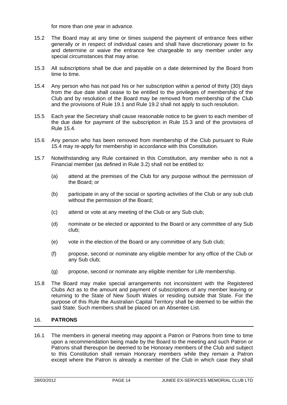for more than one year in advance.

- 15.2 The Board may at any time or times suspend the payment of entrance fees either generally or in respect of individual cases and shall have discretionary power to fix and determine or waive the entrance fee chargeable to any member under any special circumstances that may arise.
- 15.3 All subscriptions shall be due and payable on a date determined by the Board from time to time.
- 15.4 Any person who has not paid his or her subscription within a period of thirty (30) days from the due date shall cease to be entitled to the privileges of membership of the Club and by resolution of the Board may be removed from membership of the Club and the provisions of Rule 19.1 and Rule 19.2 shall not apply to such resolution.
- 15.5 Each year the Secretary shall cause reasonable notice to be given to each member of the due date for payment of the subscription in Rule 15.3 and of the provisions of Rule 15.4.
- 15.6 Any person who has been removed from membership of the Club pursuant to Rule 15.4 may re-apply for membership in accordance with this Constitution.
- 15.7 Notwithstanding any Rule contained in this Constitution, any member who is not a Financial member (as defined in Rule 3.2) shall not be entitled to:
	- (a) attend at the premises of the Club for any purpose without the permission of the Board; or
	- (b) participate in any of the social or sporting activities of the Club or any sub club without the permission of the Board;
	- (c) attend or vote at any meeting of the Club or any Sub club;
	- (d) nominate or be elected or appointed to the Board or any committee of any Sub club;
	- (e) vote in the election of the Board or any committee of any Sub club;
	- (f) propose, second or nominate any eligible member for any office of the Club or any Sub club;
	- (g) propose, second or nominate any eligible member for Life membership.
- 15.8 The Board may make special arrangements not inconsistent with the Registered Clubs Act as to the amount and payment of subscriptions of any member leaving or returning to the State of New South Wales or residing outside that State. For the purpose of this Rule the Australian Capital Territory shall be deemed to be within the said State. Such members shall be placed on an Absentee List.

# 16. **PATRONS**

16.1 The members in general meeting may appoint a Patron or Patrons from time to time upon a recommendation being made by the Board to the meeting and such Patron or Patrons shall thereupon be deemed to be Honorary members of the Club and subject to this Constitution shall remain Honorary members while they remain a Patron except where the Patron is already a member of the Club in which case they shall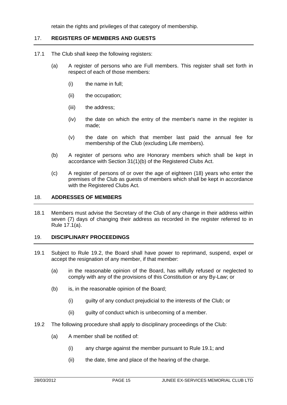retain the rights and privileges of that category of membership.

# 17. **REGISTERS OF MEMBERS AND GUESTS**

- 17.1 The Club shall keep the following registers:
	- (a) A register of persons who are Full members. This register shall set forth in respect of each of those members:
		- (i) the name in full;
		- (ii) the occupation;
		- (iii) the address;
		- (iv) the date on which the entry of the member's name in the register is made;
		- (v) the date on which that member last paid the annual fee for membership of the Club (excluding Life members).
	- (b) A register of persons who are Honorary members which shall be kept in accordance with Section 31(1)(b) of the Registered Clubs Act.
	- (c) A register of persons of or over the age of eighteen (18) years who enter the premises of the Club as guests of members which shall be kept in accordance with the Registered Clubs Act.

#### 18. **ADDRESSES OF MEMBERS**

18.1 Members must advise the Secretary of the Club of any change in their address within seven (7) days of changing their address as recorded in the register referred to in Rule 17.1(a).

#### 19. **DISCIPLINARY PROCEEDINGS**

- 19.1 Subject to Rule 19.2, the Board shall have power to reprimand, suspend, expel or accept the resignation of any member, if that member:
	- (a) in the reasonable opinion of the Board, has wilfully refused or neglected to comply with any of the provisions of this Constitution or any By-Law; or
	- (b) is, in the reasonable opinion of the Board;
		- (i) guilty of any conduct prejudicial to the interests of the Club; or
		- (ii) guilty of conduct which is unbecoming of a member.
- 19.2 The following procedure shall apply to disciplinary proceedings of the Club:
	- (a) A member shall be notified of:
		- (i) any charge against the member pursuant to Rule 19.1; and
		- (ii) the date, time and place of the hearing of the charge.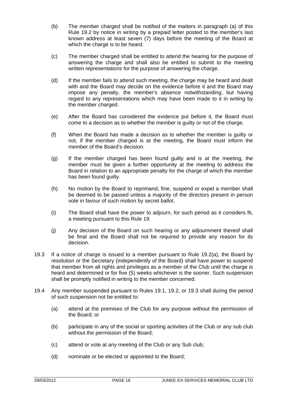- (b) The member charged shall be notified of the matters in paragraph (a) of this Rule 19.2 by notice in writing by a prepaid letter posted to the member's last known address at least seven (7) days before the meeting of the Board at which the charge is to be heard.
- (c) The member charged shall be entitled to attend the hearing for the purpose of answering the charge and shall also be entitled to submit to the meeting written representations for the purpose of answering the charge.
- (d) If the member fails to attend such meeting, the charge may be heard and dealt with and the Board may decide on the evidence before it and the Board may impose any penalty, the member's absence notwithstanding, but having regard to any representations which may have been made to it in writing by the member charged.
- (e) After the Board has considered the evidence put before it, the Board must come to a decision as to whether the member is guilty or not of the charge.
- (f) When the Board has made a decision as to whether the member is guilty or not, if the member charged is at the meeting, the Board must inform the member of the Board's decision.
- (g) If the member charged has been found guilty and is at the meeting, the member must be given a further opportunity at the meeting to address the Board in relation to an appropriate penalty for the charge of which the member has been found quilty.
- (h) No motion by the Board to reprimand, fine, suspend or expel a member shall be deemed to be passed unless a majority of the directors present in person vote in favour of such motion by secret ballot.
- (i) The Board shall have the power to adjourn, for such period as it considers fit, a meeting pursuant to this Rule 19.
- (j) Any decision of the Board on such hearing or any adjournment thereof shall be final and the Board shall not be required to provide any reason for its decision.
- 19.3 If a notice of charge is issued to a member pursuant to Rule 19.2(a), the Board by resolution or the Secretary (independently of the Board) shall have power to suspend that member from all rights and privileges as a member of the Club until the charge is heard and determined or for five (5) weeks whichever is the sooner. Such suspension shall be promptly notified in writing to the member concerned.
- 19.4 Any member suspended pursuant to Rules 19.1, 19.2, or 19.3 shall during the period of such suspension not be entitled to:
	- (a) attend at the premises of the Club for any purpose without the permission of the Board; or
	- (b) participate in any of the social or sporting activities of the Club or any sub club without the permission of the Board;
	- (c) attend or vote at any meeting of the Club or any Sub club;
	- (d) nominate or be elected or appointed to the Board;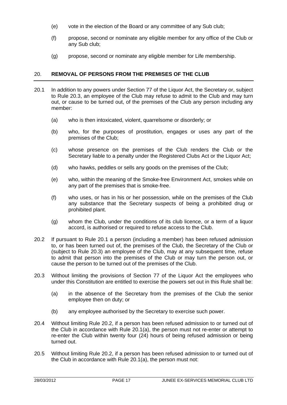- (e) vote in the election of the Board or any committee of any Sub club;
- (f) propose, second or nominate any eligible member for any office of the Club or any Sub club;
- (g) propose, second or nominate any eligible member for Life membership.

# 20. **REMOVAL OF PERSONS FROM THE PREMISES OF THE CLUB**

- 20.1 In addition to any powers under Section 77 of the Liquor Act, the Secretary or, subject to Rule 20.3, an employee of the Club may refuse to admit to the Club and may turn out, or cause to be turned out, of the premises of the Club any person including any member:
	- (a) who is then intoxicated, violent, quarrelsome or disorderly; or
	- (b) who, for the purposes of prostitution, engages or uses any part of the premises of the Club;
	- (c) whose presence on the premises of the Club renders the Club or the Secretary liable to a penalty under the Registered Clubs Act or the Liquor Act;
	- (d) who hawks, peddles or sells any goods on the premises of the Club;
	- (e) who, within the meaning of the Smoke-free Environment Act, smokes while on any part of the premises that is smoke-free.
	- (f) who uses, or has in his or her possession, while on the premises of the Club any substance that the Secretary suspects of being a prohibited drug or prohibited plant.
	- (g) whom the Club, under the conditions of its club licence, or a term of a liquor accord, is authorised or required to refuse access to the Club.
- 20.2 If pursuant to Rule 20.1 a person (including a member) has been refused admission to, or has been turned out of, the premises of the Club, the Secretary of the Club or (subject to Rule 20.3) an employee of the Club, may at any subsequent time, refuse to admit that person into the premises of the Club or may turn the person out, or cause the person to be turned out of the premises of the Club.
- 20.3 Without limiting the provisions of Section 77 of the Liquor Act the employees who under this Constitution are entitled to exercise the powers set out in this Rule shall be:
	- (a) in the absence of the Secretary from the premises of the Club the senior employee then on duty; or
	- (b) any employee authorised by the Secretary to exercise such power.
- 20.4 Without limiting Rule 20.2, if a person has been refused admission to or turned out of the Club in accordance with Rule 20.1(a), the person must not re-enter or attempt to re-enter the Club within twenty four (24) hours of being refused admission or being turned out.
- 20.5 Without limiting Rule 20.2, if a person has been refused admission to or turned out of the Club in accordance with Rule 20.1(a), the person must not: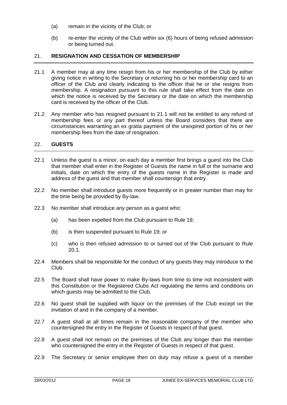- (a) remain in the vicinity of the Club; or
- (b) re-enter the vicinity of the Club within six (6) hours of being refused admission or being turned out.

#### 21. **RESIGNATION AND CESSATION OF MEMBERSHIP**

- 21.1 A member may at any time resign from his or her membership of the Club by either giving notice in writing to the Secretary or returning his or her membership card to an officer of the Club and clearly indicating to the officer that he or she resigns from membership. A resignation pursuant to this rule shall take effect from the date on which the notice is received by the Secretary or the date on which the membership card is received by the officer of the Club.
- 21.2 Any member who has resigned pursuant to 21.1 will not be entitled to any refund of membership fees or any part thereof unless the Board considers that there are circumstances warranting an ex gratia payment of the unexpired portion of his or her membership fees from the date of resignation.

#### 22. **GUESTS**

- 22.1 Unless the guest is a minor, on each day a member first brings a guest into the Club that member shall enter in the Register of Guests the name in full or the surname and initials, date on which the entry of the guests name in the Register is made and address of the guest and that member shall countersign that entry.
- 22.2 No member shall introduce guests more frequently or in greater number than may for the time being be provided by By-law.
- 22.3 No member shall introduce any person as a guest who:
	- (a) has been expelled from the Club pursuant to Rule 19;
	- (b) is then suspended pursuant to Rule 19; or
	- (c) who is then refused admission to or turned out of the Club pursuant to Rule 20.1.
- 22.4 Members shall be responsible for the conduct of any guests they may introduce to the Club.
- 22.5 The Board shall have power to make By-laws from time to time not inconsistent with this Constitution or the Registered Clubs Act regulating the terms and conditions on which guests may be admitted to the Club.
- 22.6 No guest shall be supplied with liquor on the premises of the Club except on the invitation of and in the company of a member.
- 22.7 A guest shall at all times remain in the reasonable company of the member who countersigned the entry in the Register of Guests in respect of that guest.
- 22.8 A guest shall not remain on the premises of the Club any longer than the member who countersigned the entry in the Register of Guests in respect of that guest.
- 22.9 The Secretary or senior employee then on duty may refuse a guest of a member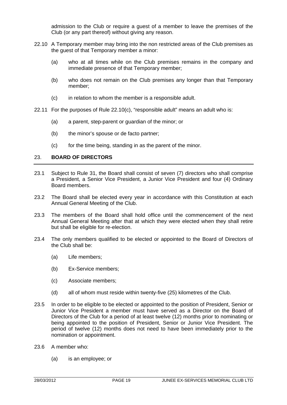admission to the Club or require a guest of a member to leave the premises of the Club (or any part thereof) without giving any reason.

- 22.10 A Temporary member may bring into the non restricted areas of the Club premises as the guest of that Temporary member a minor:
	- (a) who at all times while on the Club premises remains in the company and immediate presence of that Temporary member;
	- (b) who does not remain on the Club premises any longer than that Temporary member;
	- (c) in relation to whom the member is a responsible adult.
- 22.11 For the purposes of Rule 22.10(c), "responsible adult" means an adult who is:
	- (a) a parent, step-parent or guardian of the minor; or
	- (b) the minor's spouse or de facto partner;
	- (c) for the time being, standing in as the parent of the minor.

#### 23. **BOARD OF DIRECTORS**

- 23.1 Subject to Rule 31, the Board shall consist of seven (7) directors who shall comprise a President, a Senior Vice President, a Junior Vice President and four (4) Ordinary Board members.
- 23.2 The Board shall be elected every year in accordance with this Constitution at each Annual General Meeting of the Club.
- 23.3 The members of the Board shall hold office until the commencement of the next Annual General Meeting after that at which they were elected when they shall retire but shall be eligible for re-election.
- 23.4 The only members qualified to be elected or appointed to the Board of Directors of the Club shall be:
	- (a) Life members;
	- (b) Ex-Service members;
	- (c) Associate members;
	- (d) all of whom must reside within twenty-five (25) kilometres of the Club.
- 23.5 In order to be eligible to be elected or appointed to the position of President, Senior or Junior Vice President a member must have served as a Director on the Board of Directors of the Club for a period of at least twelve (12) months prior to nominating or being appointed to the position of President, Senior or Junior Vice President. The period of twelve (12) months does not need to have been immediately prior to the nomination or appointment.
- 23.6 A member who:
	- (a) is an employee; or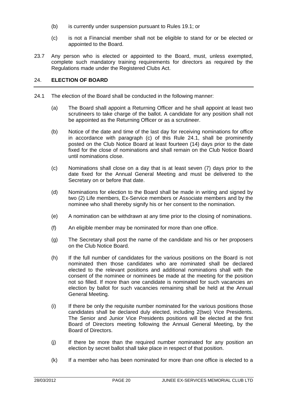- (b) is currently under suspension pursuant to Rules 19.1; or
- (c) is not a Financial member shall not be eligible to stand for or be elected or appointed to the Board.
- 23.7 Any person who is elected or appointed to the Board, must, unless exempted, complete such mandatory training requirements for directors as required by the Regulations made under the Registered Clubs Act.

#### 24. **ELECTION OF BOARD**

- 24.1 The election of the Board shall be conducted in the following manner:
	- (a) The Board shall appoint a Returning Officer and he shall appoint at least two scrutineers to take charge of the ballot. A candidate for any position shall not be appointed as the Returning Officer or as a scrutineer.
	- (b) Notice of the date and time of the last day for receiving nominations for office in accordance with paragraph (c) of this Rule 24.1, shall be prominently posted on the Club Notice Board at least fourteen (14) days prior to the date fixed for the close of nominations and shall remain on the Club Notice Board until nominations close.
	- (c) Nominations shall close on a day that is at least seven (7) days prior to the date fixed for the Annual General Meeting and must be delivered to the Secretary on or before that date.
	- (d) Nominations for election to the Board shall be made in writing and signed by two (2) Life members, Ex-Service members or Associate members and by the nominee who shall thereby signify his or her consent to the nomination.
	- (e) A nomination can be withdrawn at any time prior to the closing of nominations.
	- (f) An eligible member may be nominated for more than one office.
	- (g) The Secretary shall post the name of the candidate and his or her proposers on the Club Notice Board.
	- (h) If the full number of candidates for the various positions on the Board is not nominated then those candidates who are nominated shall be declared elected to the relevant positions and additional nominations shall with the consent of the nominee or nominees be made at the meeting for the position not so filled. If more than one candidate is nominated for such vacancies an election by ballot for such vacancies remaining shall be held at the Annual General Meeting.
	- (i) If there be only the requisite number nominated for the various positions those candidates shall be declared duly elected, including 2(two) Vice Presidents. The Senior and Junior Vice Presidents positions will be elected at the first Board of Directors meeting following the Annual General Meeting, by the Board of Directors.
	- (j) If there be more than the required number nominated for any position an election by secret ballot shall take place in respect of that position.
	- (k) If a member who has been nominated for more than one office is elected to a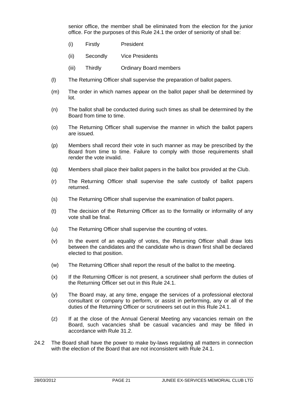senior office, the member shall be eliminated from the election for the junior office. For the purposes of this Rule 24.1 the order of seniority of shall be:

- (i) Firstly President
- (ii) Secondly Vice Presidents
- (iii) Thirdly Ordinary Board members
- (l) The Returning Officer shall supervise the preparation of ballot papers.
- (m) The order in which names appear on the ballot paper shall be determined by lot.
- (n) The ballot shall be conducted during such times as shall be determined by the Board from time to time.
- (o) The Returning Officer shall supervise the manner in which the ballot papers are issued.
- (p) Members shall record their vote in such manner as may be prescribed by the Board from time to time. Failure to comply with those requirements shall render the vote invalid.
- (q) Members shall place their ballot papers in the ballot box provided at the Club.
- (r) The Returning Officer shall supervise the safe custody of ballot papers returned.
- (s) The Returning Officer shall supervise the examination of ballot papers.
- (t) The decision of the Returning Officer as to the formality or informality of any vote shall be final.
- (u) The Returning Officer shall supervise the counting of votes.
- (v) In the event of an equality of votes, the Returning Officer shall draw lots between the candidates and the candidate who is drawn first shall be declared elected to that position.
- (w) The Returning Officer shall report the result of the ballot to the meeting.
- (x) If the Returning Officer is not present, a scrutineer shall perform the duties of the Returning Officer set out in this Rule 24.1.
- (y) The Board may, at any time, engage the services of a professional electoral consultant or company to perform, or assist in performing, any or all of the duties of the Returning Officer or scrutineers set out in this Rule 24.1.
- (z) If at the close of the Annual General Meeting any vacancies remain on the Board, such vacancies shall be casual vacancies and may be filled in accordance with Rule 31.2.
- 24.2 The Board shall have the power to make by-laws regulating all matters in connection with the election of the Board that are not inconsistent with Rule 24.1.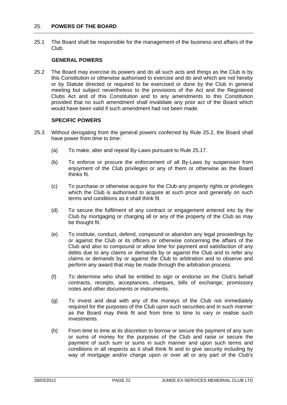#### 25. **POWERS OF THE BOARD**

25.1 The Board shall be responsible for the management of the business and affairs of the Club.

#### **GENERAL POWERS**

25.2 The Board may exercise its powers and do all such acts and things as the Club is by this Constitution or otherwise authorised to exercise and do and which are not hereby or by Statute directed or required to be exercised or done by the Club in general meeting but subject nevertheless to the provisions of the Act and the Registered Clubs Act and of this Constitution and to any amendments to this Constitution provided that no such amendment shall invalidate any prior act of the Board which would have been valid if such amendment had not been made.

#### **SPECIFIC POWERS**

- 25.3 Without derogating from the general powers conferred by Rule 25.2, the Board shall have power from time to time:
	- (a) To make, alter and repeal By-Laws pursuant to Rule 25.17.
	- (b) To enforce or procure the enforcement of all By-Laws by suspension from enjoyment of the Club privileges or any of them or otherwise as the Board thinks fit.
	- (c) To purchase or otherwise acquire for the Club any property rights or privileges which the Club is authorised to acquire at such price and generally on such terms and conditions as it shall think fit.
	- (d) To secure the fulfilment of any contract or engagement entered into by the Club by mortgaging or charging all or any of the property of the Club as may be thought fit.
	- (e) To institute, conduct, defend, compound or abandon any legal proceedings by or against the Club or its officers or otherwise concerning the affairs of the Club and also to compound or allow time for payment and satisfaction of any debts due to any claims or demands by or against the Club and to refer any claims or demands by or against the Club to arbitration and to observe and perform any award that may be made through the arbitration process.
	- (f) To determine who shall be entitled to sign or endorse on the Club's behalf contracts, receipts, acceptances, cheques, bills of exchange, promissory notes and other documents or instruments.
	- (g) To invest and deal with any of the moneys of the Club not immediately required for the purposes of the Club upon such securities and in such manner as the Board may think fit and from time to time to vary or realise such investments.
	- (h) From time to time at its discretion to borrow or secure the payment of any sum or sums of money for the purposes of the Club and raise or secure the payment of such sum or sums in such manner and upon such terms and conditions in all respects as it shall think fit and to give security including by way of mortgage and/or charge upon or over all or any part of the Club's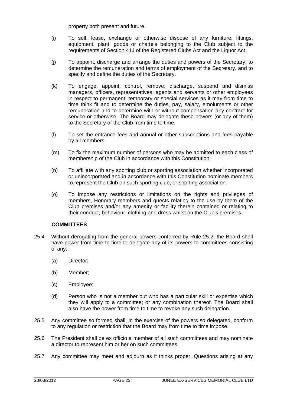property both present and future.

- (i) To sell, lease, exchange or otherwise dispose of any furniture, fittings, equipment, plant, goods or chattels belonging to the Club subject to the requirements of Section 41J of the Registered Clubs Act and the Liquor Act.
- (j) To appoint, discharge and arrange the duties and powers of the Secretary, to determine the remuneration and terms of employment of the Secretary, and to specify and define the duties of the Secretary.
- (k) To engage, appoint, control, remove, discharge, suspend and dismiss managers, officers, representatives, agents and servants or other employees in respect to permanent, temporary or special services as it may from time to time think fit and to determine the duties, pay, salary, emoluments or other remuneration and to determine with or without compensation any contract for service or otherwise. The Board may delegate these powers (or any of them) to the Secretary of the Club from time to time.
- (l) To set the entrance fees and annual or other subscriptions and fees payable by all members.
- (m) To fix the maximum number of persons who may be admitted to each class of membership of the Club in accordance with this Constitution.
- (n) To affiliate with any sporting club or sporting association whether incorporated or unincorporated and in accordance with this Constitution nominate members to represent the Club on such sporting club, or sporting association.
- (o) To impose any restrictions or limitations on the rights and privileges of members, Honorary members and guests relating to the use by them of the Club premises and/or any amenity or facility therein contained or relating to their conduct, behaviour, clothing and dress whilst on the Club's premises.

#### **COMMITTEES**

- 25.4 Without derogating from the general powers conferred by Rule 25.2, the Board shall have power from time to time to delegate any of its powers to committees consisting of any:
	- (a) Director;
	- (b) Member;
	- (c) Employee;
	- (d) Person who is not a member but who has a particular skill or expertise which they will apply to a committee; or any combination thereof. The Board shall also have the power from time to time to revoke any such delegation.
- 25.5 Any committee so formed shall, in the exercise of the powers so delegated, conform to any regulation or restriction that the Board may from time to time impose.
- 25.6 The President shall be ex officio a member of all such committees and may nominate a director to represent him or her on such committees.
- 25.7 Any committee may meet and adjourn as it thinks proper. Questions arising at any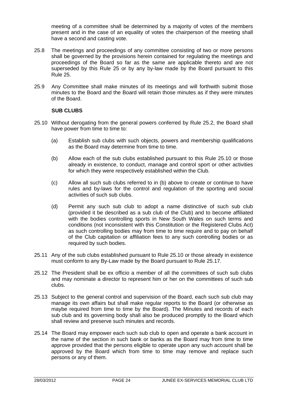meeting of a committee shall be determined by a majority of votes of the members present and in the case of an equality of votes the chairperson of the meeting shall have a second and casting vote.

- 25.8 The meetings and proceedings of any committee consisting of two or more persons shall be governed by the provisions herein contained for regulating the meetings and proceedings of the Board so far as the same are applicable thereto and are not superseded by this Rule 25 or by any by-law made by the Board pursuant to this Rule 25.
- 25.9 Any Committee shall make minutes of its meetings and will forthwith submit those minutes to the Board and the Board will retain those minutes as if they were minutes of the Board.

#### **SUB CLUBS**

- 25.10 Without derogating from the general powers conferred by Rule 25.2, the Board shall have power from time to time to:
	- (a) Establish sub clubs with such objects, powers and membership qualifications as the Board may determine from time to time.
	- (b) Allow each of the sub clubs established pursuant to this Rule 25.10 or those already in existence, to conduct, manage and control sport or other activities for which they were respectively established within the Club.
	- (c) Allow all such sub clubs referred to in (b) above to create or continue to have rules and by-laws for the control and regulation of the sporting and social activities of such sub clubs.
	- (d) Permit any such sub club to adopt a name distinctive of such sub club (provided it be described as a sub club of the Club) and to become affiliated with the bodies controlling sports in New South Wales on such terms and conditions (not inconsistent with this Constitution or the Registered Clubs Act) as such controlling bodies may from time to time require and to pay on behalf of the Club capitation or affiliation fees to any such controlling bodies or as required by such bodies.
- 25.11 Any of the sub clubs established pursuant to Rule 25.10 or those already in existence must conform to any By-Law made by the Board pursuant to Rule 25.17.
- 25.12 The President shall be ex officio a member of all the committees of such sub clubs and may nominate a director to represent him or her on the committees of such sub clubs.
- 25.13 Subject to the general control and supervision of the Board, each such sub club may manage its own affairs but shall make regular reports to the Board (or otherwise as maybe required from time to time by the Board). The Minutes and records of each sub club and its governing body shall also be produced promptly to the Board which shall review and preserve such minutes and records.
- 25.14 The Board may empower each such sub club to open and operate a bank account in the name of the section in such bank or banks as the Board may from time to time approve provided that the persons eligible to operate upon any such account shall be approved by the Board which from time to time may remove and replace such persons or any of them.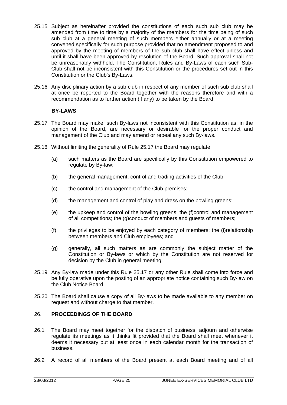- 25.15 Subject as hereinafter provided the constitutions of each such sub club may be amended from time to time by a majority of the members for the time being of such sub club at a general meeting of such members either annually or at a meeting convened specifically for such purpose provided that no amendment proposed to and approved by the meeting of members of the sub club shall have effect unless and until it shall have been approved by resolution of the Board. Such approval shall not be unreasonably withheld. The Constitution, Rules and By-Laws of each such Sub-Club shall not be inconsistent with this Constitution or the procedures set out in this Constitution or the Club's By-Laws.
- 25.16 Any disciplinary action by a sub club in respect of any member of such sub club shall at once be reported to the Board together with the reasons therefore and with a recommendation as to further action (if any) to be taken by the Board.

#### **BY-LAWS**

- 25.17 The Board may make, such By-laws not inconsistent with this Constitution as, in the opinion of the Board, are necessary or desirable for the proper conduct and management of the Club and may amend or repeal any such By-laws.
- 25.18 Without limiting the generality of Rule 25.17 the Board may regulate:
	- (a) such matters as the Board are specifically by this Constitution empowered to regulate by By-law;
	- (b) the general management, control and trading activities of the Club;
	- (c) the control and management of the Club premises;
	- (d) the management and control of play and dress on the bowling greens;
	- (e) the upkeep and control of the bowling greens; the (f)control and management of all competitions; the (g)conduct of members and guests of members;
	- (f) the privileges to be enjoyed by each category of members; the (i)relationship between members and Club employees; and
	- (g) generally, all such matters as are commonly the subject matter of the Constitution or By-laws or which by the Constitution are not reserved for decision by the Club in general meeting.
- 25.19 Any By-law made under this Rule 25.17 or any other Rule shall come into force and be fully operative upon the posting of an appropriate notice containing such By-law on the Club Notice Board.
- 25.20 The Board shall cause a copy of all By-laws to be made available to any member on request and without charge to that member.

# 26. **PROCEEDINGS OF THE BOARD**

- 26.1 The Board may meet together for the dispatch of business, adjourn and otherwise regulate its meetings as it thinks fit provided that the Board shall meet whenever it deems it necessary but at least once in each calendar month for the transaction of business.
- 26.2 A record of all members of the Board present at each Board meeting and of all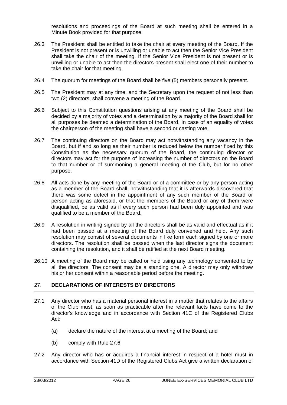resolutions and proceedings of the Board at such meeting shall be entered in a Minute Book provided for that purpose.

- 26.3 The President shall be entitled to take the chair at every meeting of the Board. If the President is not present or is unwilling or unable to act then the Senior Vice President shall take the chair of the meeting. If the Senior Vice President is not present or is unwilling or unable to act then the directors present shall elect one of their number to take the chair for that meeting.
- 26.4 The quorum for meetings of the Board shall be five (5) members personally present.
- 26.5 The President may at any time, and the Secretary upon the request of not less than two (2) directors, shall convene a meeting of the Board.
- 26.6 Subject to this Constitution questions arising at any meeting of the Board shall be decided by a majority of votes and a determination by a majority of the Board shall for all purposes be deemed a determination of the Board. In case of an equality of votes the chairperson of the meeting shall have a second or casting vote.
- 26.7 The continuing directors on the Board may act notwithstanding any vacancy in the Board, but if and so long as their number is reduced below the number fixed by this Constitution as the necessary quorum of the Board, the continuing director or directors may act for the purpose of increasing the number of directors on the Board to that number or of summoning a general meeting of the Club, but for no other purpose.
- 26.8 All acts done by any meeting of the Board or of a committee or by any person acting as a member of the Board shall, notwithstanding that it is afterwards discovered that there was some defect in the appointment of any such member of the Board or person acting as aforesaid, or that the members of the Board or any of them were disqualified, be as valid as if every such person had been duly appointed and was qualified to be a member of the Board.
- 26.9 A resolution in writing signed by all the directors shall be as valid and effectual as if it had been passed at a meeting of the Board duly convened and held. Any such resolution may consist of several documents in like form each signed by one or more directors. The resolution shall be passed when the last director signs the document containing the resolution, and it shall be ratified at the next Board meeting.
- 26.10 A meeting of the Board may be called or held using any technology consented to by all the directors. The consent may be a standing one. A director may only withdraw his or her consent within a reasonable period before the meeting.

# 27. **DECLARATIONS OF INTERESTS BY DIRECTORS**

- 27.1 Any director who has a material personal interest in a matter that relates to the affairs of the Club must, as soon as practicable after the relevant facts have come to the director's knowledge and in accordance with Section 41C of the Registered Clubs Act:
	- (a) declare the nature of the interest at a meeting of the Board; and
	- (b) comply with Rule 27.6.
- 27.2 Any director who has or acquires a financial interest in respect of a hotel must in accordance with Section 41D of the Registered Clubs Act give a written declaration of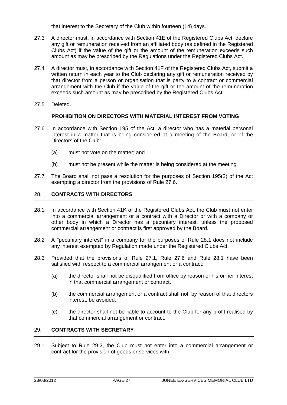that interest to the Secretary of the Club within fourteen (14) days.

- 27.3 A director must, in accordance with Section 41E of the Registered Clubs Act, declare any gift or remuneration received from an affiliated body (as defined in the Registered Clubs Act) if the value of the gift or the amount of the remuneration exceeds such amount as may be prescribed by the Regulations under the Registered Clubs Act.
- 27.4 A director must, in accordance with Section 41F of the Registered Clubs Act, submit a written return in each year to the Club declaring any gift or remuneration received by that director from a person or organisation that is party to a contract or commercial arrangement with the Club if the value of the gift or the amount of the remuneration exceeds such amount as may be prescribed by the Registered Clubs Act.
- 27.5 Deleted.

#### **PROHIBITION ON DIRECTORS WITH MATERIAL INTEREST FROM VOTING**

- 27.6 In accordance with Section 195 of the Act, a director who has a material personal interest in a matter that is being considered at a meeting of the Board, or of the Directors of the Club:
	- (a) must not vote on the matter; and
	- (b) must not be present while the matter is being considered at the meeting.
- 27.7 The Board shall not pass a resolution for the purposes of Section 195(2) of the Act exempting a director from the provisions of Rule 27.6.

# 28. **CONTRACTS WITH DIRECTORS**

- 28.1 In accordance with Section 41K of the Registered Clubs Act, the Club must not enter into a commercial arrangement or a contract with a Director or with a company or other body in which a Director has a pecuniary interest, unless the proposed commercial arrangement or contract is first approved by the Board.
- 28.2 A "pecuniary interest" in a company for the purposes of Rule 28.1 does not include any interest exempted by Regulation made under the Registered Clubs Act.
- 28.3 Provided that the provisions of Rule 27.1, Rule 27.6 and Rule 28.1 have been satisfied with respect to a commercial arrangement or a contract:
	- (a) the director shall not be disqualified from office by reason of his or her interest in that commercial arrangement or contract.
	- (b) the commercial arrangement or a contract shall not, by reason of that directors interest, be avoided.
	- (c) the director shall not be liable to account to the Club for any profit realised by that commercial arrangement or contract.

# 29. **CONTRACTS WITH SECRETARY**

29.1 Subject to Rule 29.2, the Club must not enter into a commercial arrangement or contract for the provision of goods or services with: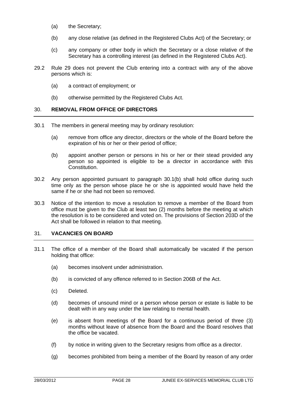- (a) the Secretary;
- (b) any close relative (as defined in the Registered Clubs Act) of the Secretary; or
- (c) any company or other body in which the Secretary or a close relative of the Secretary has a controlling interest (as defined in the Registered Clubs Act).
- 29.2 Rule 29 does not prevent the Club entering into a contract with any of the above persons which is:
	- (a) a contract of employment; or
	- (b) otherwise permitted by the Registered Clubs Act.

#### 30. **REMOVAL FROM OFFICE OF DIRECTORS**

- 30.1 The members in general meeting may by ordinary resolution:
	- (a) remove from office any director, directors or the whole of the Board before the expiration of his or her or their period of office;
	- (b) appoint another person or persons in his or her or their stead provided any person so appointed is eligible to be a director in accordance with this **Constitution**
- 30.2 Any person appointed pursuant to paragraph 30.1(b) shall hold office during such time only as the person whose place he or she is appointed would have held the same if he or she had not been so removed.
- 30.3 Notice of the intention to move a resolution to remove a member of the Board from office must be given to the Club at least two (2) months before the meeting at which the resolution is to be considered and voted on. The provisions of Section 203D of the Act shall be followed in relation to that meeting.

# 31. **VACANCIES ON BOARD**

- 31.1 The office of a member of the Board shall automatically be vacated if the person holding that office:
	- (a) becomes insolvent under administration.
	- (b) is convicted of any offence referred to in Section 206B of the Act.
	- (c) Deleted.
	- (d) becomes of unsound mind or a person whose person or estate is liable to be dealt with in any way under the law relating to mental health.
	- (e) is absent from meetings of the Board for a continuous period of three (3) months without leave of absence from the Board and the Board resolves that the office be vacated.
	- (f) by notice in writing given to the Secretary resigns from office as a director.
	- (g) becomes prohibited from being a member of the Board by reason of any order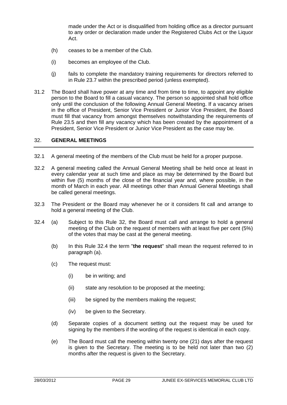made under the Act or is disqualified from holding office as a director pursuant to any order or declaration made under the Registered Clubs Act or the Liquor Act.

- (h) ceases to be a member of the Club.
- (i) becomes an employee of the Club.
- (j) fails to complete the mandatory training requirements for directors referred to in Rule 23.7 within the prescribed period (unless exempted).
- 31.2 The Board shall have power at any time and from time to time, to appoint any eligible person to the Board to fill a casual vacancy. The person so appointed shall hold office only until the conclusion of the following Annual General Meeting. If a vacancy arises in the office of President, Senior Vice President or Junior Vice President, the Board must fill that vacancy from amongst themselves notwithstanding the requirements of Rule 23.5 and then fill any vacancy which has been created by the appointment of a President, Senior Vice President or Junior Vice President as the case may be.

#### 32. **GENERAL MEETINGS**

- 32.1 A general meeting of the members of the Club must be held for a proper purpose.
- 32.2 A general meeting called the Annual General Meeting shall be held once at least in every calendar year at such time and place as may be determined by the Board but within five (5) months of the close of the financial year and, where possible, in the month of March in each year. All meetings other than Annual General Meetings shall be called general meetings.
- 32.3 The President or the Board may whenever he or it considers fit call and arrange to hold a general meeting of the Club.
- 32.4 (a) Subject to this Rule 32, the Board must call and arrange to hold a general meeting of the Club on the request of members with at least five per cent (5%) of the votes that may be cast at the general meeting.
	- (b) In this Rule 32.4 the term "**the request**" shall mean the request referred to in paragraph (a).
	- (c) The request must:
		- (i) be in writing; and
		- (ii) state any resolution to be proposed at the meeting;
		- (iii) be signed by the members making the request;
		- (iv) be given to the Secretary.
	- (d) Separate copies of a document setting out the request may be used for signing by the members if the wording of the request is identical in each copy.
	- (e) The Board must call the meeting within twenty one (21) days after the request is given to the Secretary. The meeting is to be held not later than two (2) months after the request is given to the Secretary.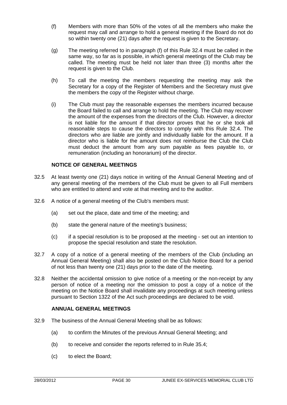- (f) Members with more than 50% of the votes of all the members who make the request may call and arrange to hold a general meeting if the Board do not do so within twenty one (21) days after the request is given to the Secretary.
- (g) The meeting referred to in paragraph (f) of this Rule 32.4 must be called in the same way, so far as is possible, in which general meetings of the Club may be called. The meeting must be held not later than three (3) months after the request is given to the Club.
- (h) To call the meeting the members requesting the meeting may ask the Secretary for a copy of the Register of Members and the Secretary must give the members the copy of the Register without charge.
- (i) The Club must pay the reasonable expenses the members incurred because the Board failed to call and arrange to hold the meeting. The Club may recover the amount of the expenses from the directors of the Club. However, a director is not liable for the amount if that director proves that he or she took all reasonable steps to cause the directors to comply with this Rule 32.4. The directors who are liable are jointly and individually liable for the amount. If a director who is liable for the amount does not reimburse the Club the Club must deduct the amount from any sum payable as fees payable to, or remuneration (including an honorarium) of the director.

# **NOTICE OF GENERAL MEETINGS**

- 32.5 At least twenty one (21) days notice in writing of the Annual General Meeting and of any general meeting of the members of the Club must be given to all Full members who are entitled to attend and vote at that meeting and to the auditor.
- 32.6 A notice of a general meeting of the Club's members must:
	- (a) set out the place, date and time of the meeting; and
	- (b) state the general nature of the meeting's business;
	- (c) if a special resolution is to be proposed at the meeting set out an intention to propose the special resolution and state the resolution.
- 32.7 A copy of a notice of a general meeting of the members of the Club (including an Annual General Meeting) shall also be posted on the Club Notice Board for a period of not less than twenty one (21) days prior to the date of the meeting.
- 32.8 Neither the accidental omission to give notice of a meeting or the non-receipt by any person of notice of a meeting nor the omission to post a copy of a notice of the meeting on the Notice Board shall invalidate any proceedings at such meeting unless pursuant to Section 1322 of the Act such proceedings are declared to be void.

# **ANNUAL GENERAL MEETINGS**

- 32.9 The business of the Annual General Meeting shall be as follows:
	- (a) to confirm the Minutes of the previous Annual General Meeting; and
	- (b) to receive and consider the reports referred to in Rule 35.4;
	- (c) to elect the Board;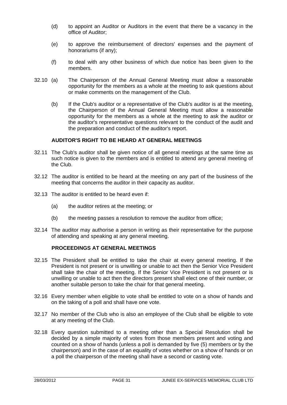- (d) to appoint an Auditor or Auditors in the event that there be a vacancy in the office of Auditor;
- (e) to approve the reimbursement of directors' expenses and the payment of honorariums (if any);
- (f) to deal with any other business of which due notice has been given to the members.
- 32.10 (a) The Chairperson of the Annual General Meeting must allow a reasonable opportunity for the members as a whole at the meeting to ask questions about or make comments on the management of the Club.
	- (b) If the Club's auditor or a representative of the Club's auditor is at the meeting, the Chairperson of the Annual General Meeting must allow a reasonable opportunity for the members as a whole at the meeting to ask the auditor or the auditor's representative questions relevant to the conduct of the audit and the preparation and conduct of the auditor's report.

#### **AUDITOR'S RIGHT TO BE HEARD AT GENERAL MEETINGS**

- 32.11 The Club's auditor shall be given notice of all general meetings at the same time as such notice is given to the members and is entitled to attend any general meeting of the Club.
- 32.12 The auditor is entitled to be heard at the meeting on any part of the business of the meeting that concerns the auditor in their capacity as auditor.
- 32.13 The auditor is entitled to be heard even if:
	- (a) the auditor retires at the meeting; or
	- (b) the meeting passes a resolution to remove the auditor from office;
- 32.14 The auditor may authorise a person in writing as their representative for the purpose of attending and speaking at any general meeting.

#### **PROCEEDINGS AT GENERAL MEETINGS**

- 32.15 The President shall be entitled to take the chair at every general meeting. If the President is not present or is unwilling or unable to act then the Senior Vice President shall take the chair of the meeting. If the Senior Vice President is not present or is unwilling or unable to act then the directors present shall elect one of their number, or another suitable person to take the chair for that general meeting.
- 32.16 Every member when eligible to vote shall be entitled to vote on a show of hands and on the taking of a poll and shall have one vote.
- 32.17 No member of the Club who is also an employee of the Club shall be eligible to vote at any meeting of the Club.
- 32.18 Every question submitted to a meeting other than a Special Resolution shall be decided by a simple majority of votes from those members present and voting and counted on a show of hands (unless a poll is demanded by five (5) members or by the chairperson) and in the case of an equality of votes whether on a show of hands or on a poll the chairperson of the meeting shall have a second or casting vote.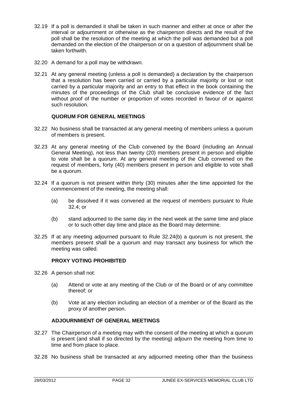- 32.19 If a poll is demanded it shall be taken in such manner and either at once or after the interval or adjournment or otherwise as the chairperson directs and the result of the poll shall be the resolution of the meeting at which the poll was demanded but a poll demanded on the election of the chairperson or on a question of adjournment shall be taken forthwith.
- 32.20 A demand for a poll may be withdrawn.
- 32.21 At any general meeting (unless a poll is demanded) a declaration by the chairperson that a resolution has been carried or carried by a particular majority or lost or not carried by a particular majority and an entry to that effect in the book containing the minutes of the proceedings of the Club shall be conclusive evidence of the fact without proof of the number or proportion of votes recorded in favour of or against such resolution.

# **QUORUM FOR GENERAL MEETINGS**

- 32.22 No business shall be transacted at any general meeting of members unless a quorum of members is present.
- 32.23 At any general meeting of the Club convened by the Board (including an Annual General Meeting), not less than twenty (20) members present in person and eligible to vote shall be a quorum. At any general meeting of the Club convened on the request of members, forty (40) members present in person and eligible to vote shall be a quorum.
- 32.24 If a quorum is not present within thirty (30) minutes after the time appointed for the commencement of the meeting, the meeting shall:
	- (a) be dissolved if it was convened at the request of members pursuant to Rule 32.4; or
	- (b) stand adjourned to the same day in the next week at the same time and place or to such other day time and place as the Board may determine.
- 32.25 If at any meeting adjourned pursuant to Rule 32.24(b) a quorum is not present, the members present shall be a quorum and may transact any business for which the meeting was called.

# **PROXY VOTING PROHIBITED**

- 32.26 A person shall not:
	- (a) Attend or vote at any meeting of the Club or of the Board or of any committee thereof; or
	- (b) Vote at any election including an election of a member or of the Board as the proxy of another person.

#### **ADJOURNMIENT OF GENERAL MEETINGS**

- 32.27 The Chairperson of a meeting may with the consent of the meeting at which a quorum is present (and shall if so directed by the meeting) adjourn the meeting from time to time and from place to place.
- 32.28 No business shall be transacted at any adjourned meeting other than the business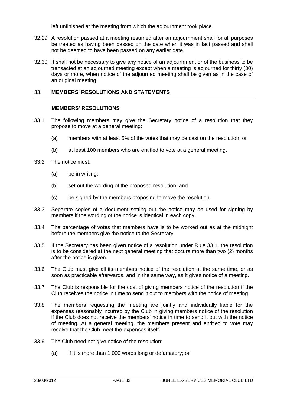left unfinished at the meeting from which the adjournment took place.

- 32.29 A resolution passed at a meeting resumed after an adjournment shall for all purposes be treated as having been passed on the date when it was in fact passed and shall not be deemed to have been passed on any earlier date.
- 32.30 It shall not be necessary to give any notice of an adjournment or of the business to be transacted at an adjourned meeting except when a meeting is adjourned for thirty (30) days or more, when notice of the adjourned meeting shall be given as in the case of an original meeting.

# 33. **MEMBERS' RESOLUTIONS AND STATEMENTS**

#### **MEMBERS' RESOLUTIONS**

- 33.1 The following members may give the Secretary notice of a resolution that they propose to move at a general meeting:
	- (a) members with at least 5% of the votes that may be cast on the resolution; or
	- (b) at least 100 members who are entitled to vote at a general meeting.
- 33.2 The notice must:
	- (a) be in writing;
	- (b) set out the wording of the proposed resolution; and
	- (c) be signed by the members proposing to move the resolution.
- 33.3 Separate copies of a document setting out the notice may be used for signing by members if the wording of the notice is identical in each copy.
- 33.4 The percentage of votes that members have is to be worked out as at the midnight before the members give the notice to the Secretary.
- 33.5 If the Secretary has been given notice of a resolution under Rule 33.1, the resolution is to be considered at the next general meeting that occurs more than two (2) months after the notice is given.
- 33.6 The Club must give all its members notice of the resolution at the same time, or as soon as practicable afterwards, and in the same way, as it gives notice of a meeting.
- 33.7 The Club is responsible for the cost of giving members notice of the resolution if the Club receives the notice in time to send it out to members with the notice of meeting.
- 33.8 The members requesting the meeting are jointly and individually liable for the expenses reasonably incurred by the Club in giving members notice of the resolution if the Club does not receive the members' notice in time to send it out with the notice of meeting. At a general meeting, the members present and entitled to vote may resolve that the Club meet the expenses itself.
- 33.9 The Club need not give notice of the resolution:
	- (a) if it is more than 1,000 words long or defamatory; or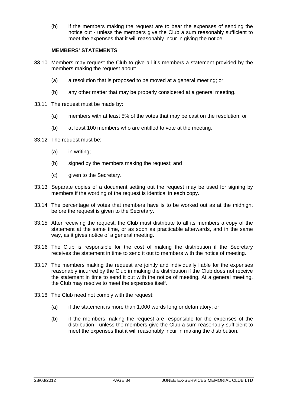(b) if the members making the request are to bear the expenses of sending the notice out - unless the members give the Club a sum reasonably sufficient to meet the expenses that it will reasonably incur in giving the notice.

#### **MEMBERS' STATEMENTS**

- 33.10 Members may request the Club to give all it's members a statement provided by the members making the request about:
	- (a) a resolution that is proposed to be moved at a general meeting; or
	- (b) any other matter that may be properly considered at a general meeting.
- 33.11 The request must be made by:
	- (a) members with at least 5% of the votes that may be cast on the resolution; or
	- (b) at least 100 members who are entitled to vote at the meeting.
- 33.12 The request must be:
	- (a) in writing;
	- (b) signed by the members making the request; and
	- (c) given to the Secretary.
- 33.13 Separate copies of a document setting out the request may be used for signing by members if the wording of the request is identical in each copy.
- 33.14 The percentage of votes that members have is to be worked out as at the midnight before the request is given to the Secretary.
- 33.15 After receiving the request, the Club must distribute to all its members a copy of the statement at the same time, or as soon as practicable afterwards, and in the same way, as it gives notice of a general meeting.
- 33.16 The Club is responsible for the cost of making the distribution if the Secretary receives the statement in time to send it out to members with the notice of meeting.
- 33.17 The members making the request are jointly and individually liable for the expenses reasonably incurred by the Club in making the distribution if the Club does not receive the statement in time to send it out with the notice of meeting. At a general meeting, the Club may resolve to meet the expenses itself.
- 33.18 The Club need not comply with the request:
	- (a) if the statement is more than 1,000 words long or defamatory; or
	- (b) if the members making the request are responsible for the expenses of the distribution - unless the members give the Club a sum reasonably sufficient to meet the expenses that it will reasonably incur in making the distribution.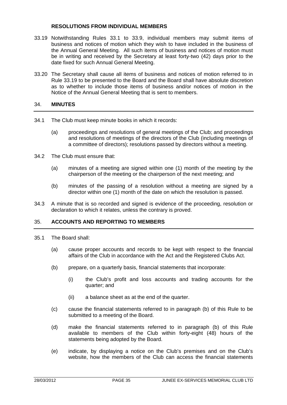#### **RESOLUTIONS FROM INDIVIDUAL MEMBERS**

- 33.19 Notwithstanding Rules 33.1 to 33.9, individual members may submit items of business and notices of motion which they wish to have included in the business of the Annual General Meeting. All such items of business and notices of motion must be in writing and received by the Secretary at least forty-two (42) days prior to the date fixed for such Annual General Meeting.
- 33.20 The Secretary shall cause all items of business and notices of motion referred to in Rule 33.19 to be presented to the Board and the Board shall have absolute discretion as to whether to include those items of business and/or notices of motion in the Notice of the Annual General Meeting that is sent to members.

# 34. **MINUTES**

- 34.1 The Club must keep minute books in which it records:
	- (a) proceedings and resolutions of general meetings of the Club; and proceedings and resolutions of meetings of the directors of the Club (including meetings of a committee of directors); resolutions passed by directors without a meeting.
- 34.2 The Club must ensure that:
	- (a) minutes of a meeting are signed within one (1) month of the meeting by the chairperson of the meeting or the chairperson of the next meeting; and
	- (b) minutes of the passing of a resolution without a meeting are signed by a director within one (1) month of the date on which the resolution is passed.
- 34.3 A minute that is so recorded and signed is evidence of the proceeding, resolution or declaration to which it relates, unless the contrary is proved.

#### 35. **ACCOUNTS AND REPORTING TO MEMBERS**

- 35.1 The Board shall:
	- (a) cause proper accounts and records to be kept with respect to the financial affairs of the Club in accordance with the Act and the Registered Clubs Act.
	- (b) prepare, on a quarterly basis, financial statements that incorporate:
		- (i) the Club's profit and loss accounts and trading accounts for the quarter; and
		- (ii) a balance sheet as at the end of the quarter.
	- (c) cause the financial statements referred to in paragraph (b) of this Rule to be submitted to a meeting of the Board.
	- (d) make the financial statements referred to in paragraph (b) of this Rule available to members of the Club within forty-eight (48) hours of the statements being adopted by the Board.
	- (e) indicate, by displaying a notice on the Club's premises and on the Club's website, how the members of the Club can access the financial statements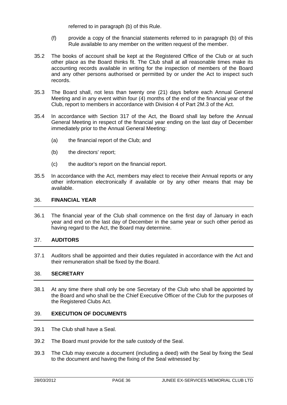referred to in paragraph (b) of this Rule.

- (f) provide a copy of the financial statements referred to in paragraph (b) of this Rule available to any member on the written request of the member.
- 35.2 The books of account shall be kept at the Registered Office of the Club or at such other place as the Board thinks fit. The Club shall at all reasonable times make its accounting records available in writing for the inspection of members of the Board and any other persons authorised or permitted by or under the Act to inspect such records.
- 35.3 The Board shall, not less than twenty one (21) days before each Annual General Meeting and in any event within four (4) months of the end of the financial year of the Club, report to members in accordance with Division 4 of Part 2M.3 of the Act.
- 35.4 In accordance with Section 317 of the Act, the Board shall lay before the Annual General Meeting in respect of the financial year ending on the last day of December immediately prior to the Annual General Meeting:
	- (a) the financial report of the Club; and
	- (b) the directors' report;
	- (c) the auditor's report on the financial report.
- 35.5 In accordance with the Act, members may elect to receive their Annual reports or any other information electronically if available or by any other means that may be available.

#### 36. **FINANCIAL YEAR**

36.1 The financial year of the Club shall commence on the first day of January in each year and end on the last day of December in the same year or such other period as having regard to the Act, the Board may determine.

# 37. **AUDITORS**

37.1 Auditors shall be appointed and their duties regulated in accordance with the Act and their remuneration shall be fixed by the Board.

#### 38. **SECRETARY**

38.1 At any time there shall only be one Secretary of the Club who shall be appointed by the Board and who shall be the Chief Executive Officer of the Club for the purposes of the Registered Clubs Act.

# 39. **EXECUTION OF DOCUMENTS**

- 39.1 The Club shall have a Seal.
- 39.2 The Board must provide for the safe custody of the Seal.
- 39.3 The Club may execute a document (including a deed) with the Seal by fixing the Seal to the document and having the fixing of the Seal witnessed by: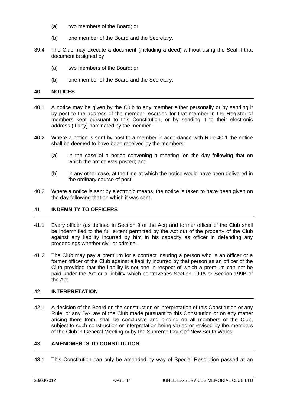- (a) two members of the Board; or
- (b) one member of the Board and the Secretary.
- 39.4 The Club may execute a document (including a deed) without using the Seal if that document is signed by:
	- (a) two members of the Board; or
	- (b) one member of the Board and the Secretary.

#### 40. **NOTICES**

- 40.1 A notice may be given by the Club to any member either personally or by sending it by post to the address of the member recorded for that member in the Register of members kept pursuant to this Constitution, or by sending it to their electronic address (if any) nominated by the member.
- 40.2 Where a notice is sent by post to a member in accordance with Rule 40.1 the notice shall be deemed to have been received by the members:
	- (a) in the case of a notice convening a meeting, on the day following that on which the notice was posted; and
	- (b) in any other case, at the time at which the notice would have been delivered in the ordinary course of post.
- 40.3 Where a notice is sent by electronic means, the notice is taken to have been given on the day following that on which it was sent.

#### 41. **INDEMNITY TO OFFICERS**

- 41.1 Every officer (as defined in Section 9 of the Act) and former officer of the Club shall be indemnified to the full extent permitted by the Act out of the property of the Club against any liability incurred by him in his capacity as officer in defending any proceedings whether civil or criminal.
- 41.2 The Club may pay a premium for a contract insuring a person who is an officer or a former officer of the Club against a liability incurred by that person as an officer of the Club provided that the liability is not one in respect of which a premium can not be paid under the Act or a liability which contravenes Section 199A or Section 199B of the Act.

#### 42. **INTERPRETATION**

42.1 A decision of the Board on the construction or interpretation of this Constitution or any Rule, or any By-Law of the Club made pursuant to this Constitution or on any matter arising there from, shall be conclusive and binding on all members of the Club, subject to such construction or interpretation being varied or revised by the members of the Club in General Meeting or by the Supreme Court of New South Wales.

#### 43. **AMENDMENTS TO CONSTITUTION**

43.1 This Constitution can only be amended by way of Special Resolution passed at an